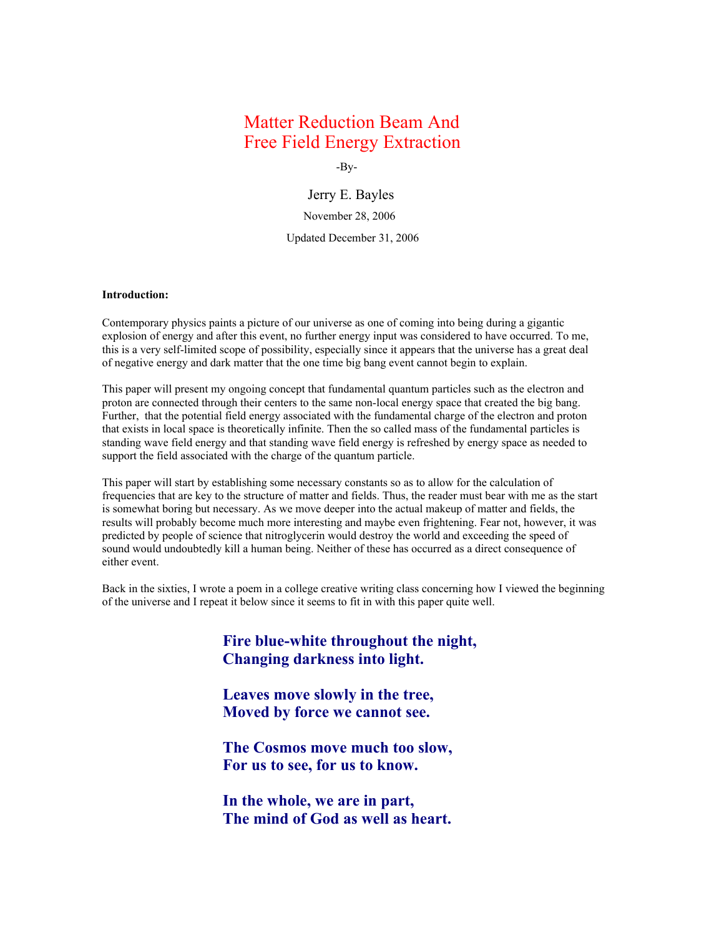# Matter Reduction Beam And Free Field Energy Extraction

-By-

Jerry E. Bayles November 28, 2006 Updated December 31, 2006

# **Introduction:**

Contemporary physics paints a picture of our universe as one of coming into being during a gigantic explosion of energy and after this event, no further energy input was considered to have occurred. To me, this is a very self-limited scope of possibility, especially since it appears that the universe has a great deal of negative energy and dark matter that the one time big bang event cannot begin to explain.

This paper will present my ongoing concept that fundamental quantum particles such as the electron and proton are connected through their centers to the same non-local energy space that created the big bang. Further, that the potential field energy associated with the fundamental charge of the electron and proton that exists in local space is theoretically infinite. Then the so called mass of the fundamental particles is standing wave field energy and that standing wave field energy is refreshed by energy space as needed to support the field associated with the charge of the quantum particle.

This paper will start by establishing some necessary constants so as to allow for the calculation of frequencies that are key to the structure of matter and fields. Thus, the reader must bear with me as the start is somewhat boring but necessary. As we move deeper into the actual makeup of matter and fields, the results will probably become much more interesting and maybe even frightening. Fear not, however, it was predicted by people of science that nitroglycerin would destroy the world and exceeding the speed of sound would undoubtedly kill a human being. Neither of these has occurred as a direct consequence of either event.

Back in the sixties, I wrote a poem in a college creative writing class concerning how I viewed the beginning of the universe and I repeat it below since it seems to fit in with this paper quite well.

> **Fire blue-white throughout the night, Changing darkness into light.**

**Leaves move slowly in the tree, Moved by force we cannot see.**

**The Cosmos move much too slow, For us to see, for us to know.**

**In the whole, we are in part, The mind of God as well as heart.**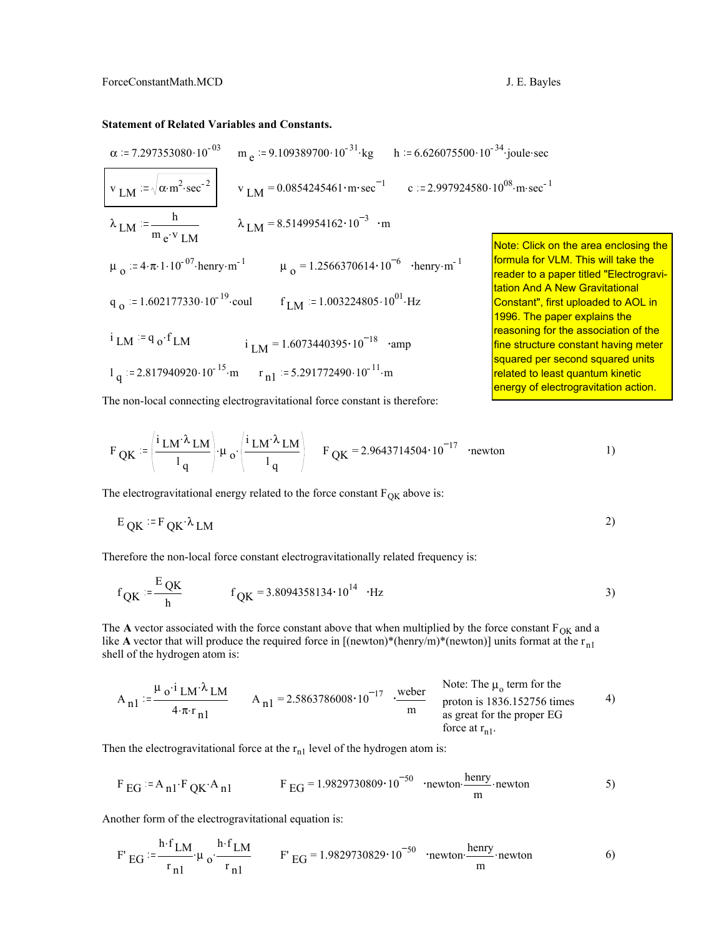# **Statement of Related Variables and Constants.**

$$
\alpha := 7.297353080 \cdot 10^{-03}
$$
\n
$$
v_{LM} := \sqrt{\alpha \cdot m^{2} \cdot \sec^{-2}}
$$
\n
$$
v_{LM} = 0.0854245461 \cdot m \cdot \sec^{-1}
$$
\n
$$
\lambda_{LM} = \frac{h}{m_e \cdot v_{LM}}
$$
\n
$$
\mu_0 := 4 \cdot \pi \cdot 1 \cdot 10^{-07} \cdot \text{henry} \cdot m^{-1}
$$
\n
$$
\mu_0 = 1.2566370614 \cdot 10^{-6}
$$
\n
$$
v_{LM} = 1.003224805 \cdot 10^{01} \cdot Hz
$$
\n
$$
v_{LM} = 1.602177330 \cdot 10^{-19} \cdot \text{coul}
$$
\n
$$
v_{LM} = 1.6073440395 \cdot 10^{-18}
$$
\n
$$
v_{LM} = 1.2566370614 \cdot 10^{-6}
$$
\n
$$
v_{LM} = 1.2566370614 \cdot 10^{-6}
$$
\n
$$
v_{LM} = 1.2566370614 \cdot 10^{-6}
$$
\n
$$
v_{LM} = 1.2566370614 \cdot 10^{-6}
$$
\n
$$
v_{LM} = 1.2566370614 \cdot 10^{-6}
$$
\n
$$
v_{M} = 1.2566370614 \cdot 10^{-6}
$$
\n
$$
v_{M} = 1.2566370614 \cdot 10^{-6}
$$
\n
$$
v_{M} = 1.2566370614 \cdot 10^{-6}
$$
\n
$$
v_{M} = 1.2566370614 \cdot 10^{-6}
$$
\n
$$
v_{M} = 1.2566370614 \cdot 10^{-6}
$$
\n
$$
v_{M} = 1.2566370614 \cdot 10^{-6}
$$
\n
$$
v_{M} = 1.2566370614 \cdot 10^{-6}
$$
\n
$$
v_{M} = 1.256637
$$

The non-local connecting electrogravitational force constant is therefore:

$$
F_{\text{QK}} := \left(\frac{i_{\text{LM}} \lambda_{\text{LM}}}{l_q}\right) \cdot \mu_o \cdot \left(\frac{i_{\text{LM}} \lambda_{\text{LM}}}{l_q}\right) \quad F_{\text{QK}} = 2.9643714504 \cdot 10^{-17} \quad \text{ 'newton} \tag{1}
$$

The electrogravitational energy related to the force constant  $F_{OK}$  above is:

$$
E_{\text{QK}} = F_{\text{QK}} \lambda_{\text{LM}}
$$

Therefore the non-local force constant electrogravitationally related frequency is:

$$
f_{QK} := \frac{E_{QK}}{h}
$$
  $f_{QK} = 3.8094358134 \cdot 10^{14}$  ·Hz

The **A** vector associated with the force constant above that when multiplied by the force constant  $F_{OK}$  and a like **A** vector that will produce the required force in  $[(newton)*(henv/m)*(newton)]$  units format at the r<sub>n1</sub> shell of the hydrogen atom is:

$$
A_{n1} := \frac{\mu_0 \cdot i_{LM} \cdot \lambda_{LM}}{4 \cdot \pi \cdot r_{n1}}
$$
\n
$$
A_{n1} = 2.5863786008 \cdot 10^{-17}
$$
\n
$$
\frac{\text{weber}}{\text{m}}
$$
\n
$$
\frac{\text{Note: The } \mu_0 \text{ term for the proton is } 1836.152756 \text{ times}}{\text{a} \cdot \text{g} \cdot \text{g} \cdot \text{g} \cdot \text{g} \cdot \text{h}} \qquad \text{(4)}
$$
\n
$$
A_{n1} = 2.5863786008 \cdot 10^{-17}
$$
\n
$$
\frac{\text{weber}}{\text{m}}
$$
\n
$$
\frac{\text{Note: The } \mu_0 \text{ term for the proton is } 1836.152756 \text{ times}}{\text{a} \cdot \text{g} \cdot \text{g} \cdot \text{h}} \qquad \text{(5)}
$$

Then the electrogravitational force at the  $r_{n1}$  level of the hydrogen atom is:

$$
\text{F}_{\text{EG}} = \text{A}_{\text{n1}} \cdot \text{F}_{\text{QK}} \cdot \text{A}_{\text{n1}} \qquad \text{F}_{\text{EG}} = 1.9829730809 \cdot 10^{-50} \quad \text{newton} \cdot \frac{\text{henry}}{\text{m}} \cdot \text{newton} \qquad \text{5)}
$$

Another form of the electrogravitational equation is:

$$
F' \underline{EG} := \frac{\underline{h \cdot f_{LM}}}{r_{n1}} \cdot \mu_0 \cdot \frac{\underline{h \cdot f_{LM}}}{r_{n1}} \qquad F' \underline{EG} = 1.9829730829 \cdot 10^{-50} \quad \text{newton} \cdot \frac{\underline{h \cdot n} \underline{f_{M}}}{m} \cdot \text{newton} \tag{6}
$$

on the area enclosing the

paper titled "Electrogravi-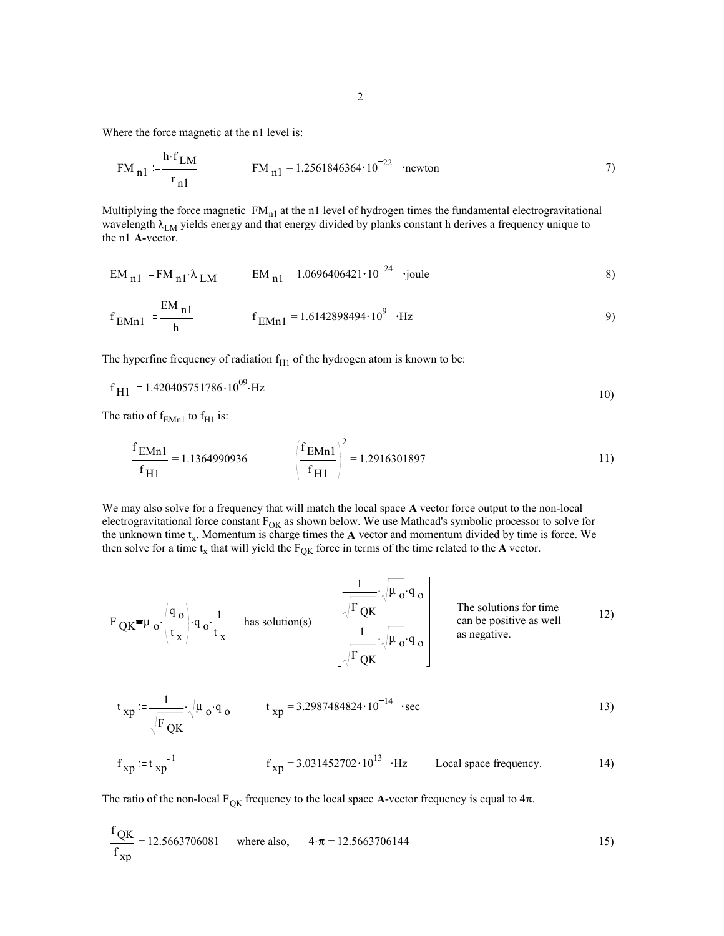Where the force magnetic at the n1 level is:

$$
FM_{n1} := \frac{h \cdot f_{LM}}{r_{n1}}
$$
  $FM_{n1} = 1.2561846364 \cdot 10^{-22}$  newton

Multiplying the force magnetic  $FM_{n1}$  at the n1 level of hydrogen times the fundamental electrogravitational wavelength  $\lambda_{LM}$  yields energy and that energy divided by planks constant h derives a frequency unique to the n1 **A-**vector.

$$
EM_{n1} = FM_{n1} \cdot \lambda_{LM}
$$
  $EM_{n1} = 1.0696406421 \cdot 10^{-24}$  'joule

$$
f_{EMn1} := \frac{EM_{n1}}{h}
$$
  $f_{EMn1} = 1.6142898494 \cdot 10^9 \cdot Hz$  (9)

The hyperfine frequency of radiation  $f<sub>H1</sub>$  of the hydrogen atom is known to be:

$$
f_{\rm H1} = 1.420405751786 \cdot 10^{09} \cdot \rm Hz
$$

The ratio of  $f_{EMn1}$  to  $f_{H1}$  is:

$$
\frac{f_{\text{EMn1}}}{f_{\text{H1}}} = 1.1364990936
$$
\n
$$
\left(\frac{f_{\text{EMn1}}}{f_{\text{H1}}}\right)^2 = 1.2916301897
$$
\n
$$
\tag{11}
$$

We may also solve for a frequency that will match the local space **A** vector force output to the non-local electrogravitational force constant  $F_{OK}$  as shown below. We use Mathcad's symbolic processor to solve for the unknown time t<sub>x</sub>. Momentum is charge times the A vector and momentum divided by time is force. We then solve for a time  $t_x$  that will yield the  $F_{QK}$  force in terms of the time related to the **A** vector.

$$
F_{\text{QK}} = \mu_{\text{o}} \cdot \left(\frac{q_{\text{o}}}{t_{\text{x}}}\right) \cdot q_{\text{o}} \cdot \frac{1}{t_{\text{x}}} \quad \text{has solution(s)} \quad \left[\frac{\frac{1}{\sqrt{F_{\text{QK}}}} \cdot \sqrt{\mu_{\text{o}} \cdot q_{\text{o}}}}{\frac{1}{\sqrt{F_{\text{QK}}}} \cdot \sqrt{\mu_{\text{o}} \cdot q_{\text{o}}}}\right] \quad \text{The solutions for time} \quad \text{can be positive as well} \quad 12)
$$

$$
t_{xp} := \frac{1}{\sqrt{F_{QR}}} \cdot \sqrt{\mu_0} \cdot q_0
$$
  $t_{xp} = 3.2987484824 \cdot 10^{-14}$  *see* 13)  
 $f_{xp} := t_{xp}^{-1}$   $f_{xp} = 3.031452702 \cdot 10^{13}$  *·Hz* Local space frequency. 14)

The ratio of the non-local  $F_{OK}$  frequency to the local space **A**-vector frequency is equal to  $4\pi$ .

$$
\frac{f_{\text{QK}}}{f_{\text{xp}}} = 12.5663706081 \quad \text{where also,} \quad 4 \cdot \pi = 12.5663706144 \tag{15}
$$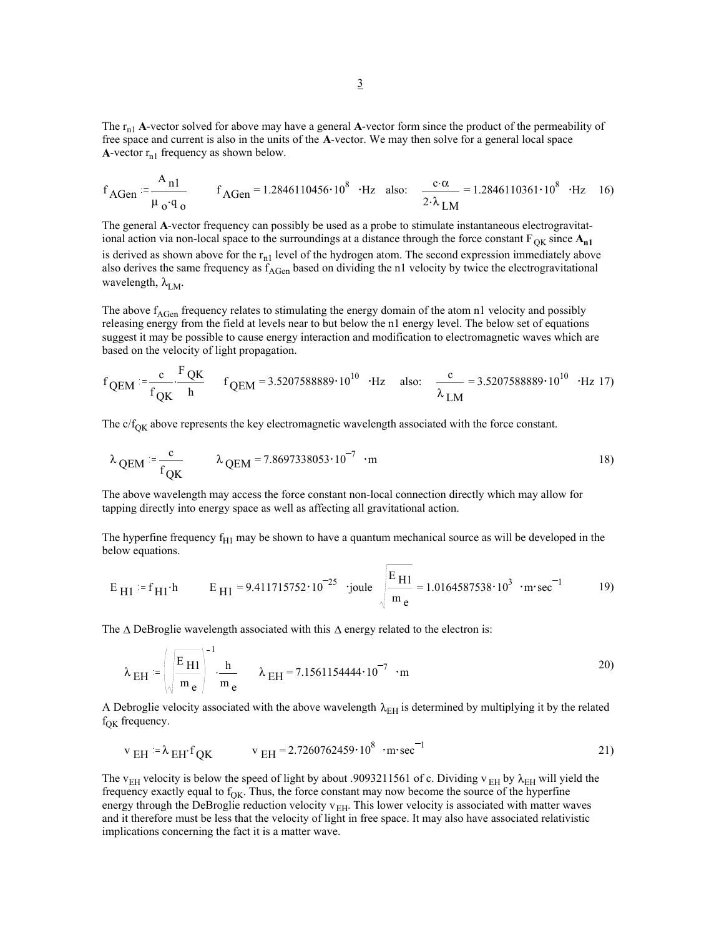The  $r_{n1}$  **A**-vector solved for above may have a general **A**-vector form since the product of the permeability of free space and current is also in the units of the **A**-vector. We may then solve for a general local space **A**-vector  $r_{n1}$  frequency as shown below.

$$
f_{AGen} := \frac{A_{n1}}{\mu_0 q_0}
$$
  $f_{AGen} = 1.2846110456 \cdot 10^8 \cdot Hz$  also:  $\frac{c \cdot \alpha}{2 \cdot \lambda_{LM}} = 1.2846110361 \cdot 10^8 \cdot Hz$  16)

The general **A**-vector frequency can possibly be used as a probe to stimulate instantaneous electrogravitational action via non-local space to the surroundings at a distance through the force constant  $F_{OK}$  since  $A_{n1}$ is derived as shown above for the  $r_{n1}$  level of the hydrogen atom. The second expression immediately above also derives the same frequency as  $f_{AGen}$  based on dividing the n1 velocity by twice the electrogravitational wavelength,  $\lambda_{LM}$ .

The above  $f_{AGen}$  frequency relates to stimulating the energy domain of the atom n1 velocity and possibly releasing energy from the field at levels near to but below the n1 energy level. The below set of equations suggest it may be possible to cause energy interaction and modification to electromagnetic waves which are based on the velocity of light propagation.

$$
f_{QEM} = \frac{c}{f_{QK}} \cdot \frac{F_{QK}}{h}
$$
  $f_{QEM} = 3.5207588889 \cdot 10^{10}$   $H_{Z}$  also:  $\frac{c}{\lambda_{LM}} = 3.5207588889 \cdot 10^{10}$   $H_{Z}$  17)

The  $c/f<sub>OK</sub>$  above represents the key electromagnetic wavelength associated with the force constant.

$$
\lambda_{\text{QEM}} := \frac{c}{f_{\text{QK}}} \qquad \lambda_{\text{QEM}} = 7.8697338053 \cdot 10^{-7} \cdot m \qquad (18)
$$

The above wavelength may access the force constant non-local connection directly which may allow for tapping directly into energy space as well as affecting all gravitational action.

The hyperfine frequency  $f<sub>H1</sub>$  may be shown to have a quantum mechanical source as will be developed in the below equations.

$$
E_{\text{H1}} := f_{\text{H1}} \cdot h
$$
  $E_{\text{H1}} = 9.411715752 \cdot 10^{-25}$    
joule  $\sqrt{\frac{E_{\text{H1}}}{m_e}} = 1.0164587538 \cdot 10^3$    
·m·sec<sup>-1</sup> 19)

The ∆ DeBroglie wavelength associated with this ∆ energy related to the electron is:

$$
\lambda_{\text{EH}} = \left(\sqrt{\frac{\text{E}_{\text{H1}}}{\text{m}_{e}}}\right)^{-1} \cdot \frac{\text{h}}{\text{m}_{e}} \qquad \lambda_{\text{EH}} = 7.1561154444 \cdot 10^{-7} \cdot \text{m}
$$

A Debroglie velocity associated with the above wavelength  $\lambda_{EH}$  is determined by multiplying it by the related  $f_{OK}$  frequency.

$$
v_{EH} = \lambda_{EH} f_{QK}
$$
  $v_{EH} = 2.7260762459 \cdot 10^8 \cdot m \cdot sec^{-1}$  (21)

The v<sub>EH</sub> velocity is below the speed of light by about .9093211561 of c. Dividing v<sub>EH</sub> by  $\lambda$ <sub>EH</sub> will yield the frequency exactly equal to  $f_{OK}$ . Thus, the force constant may now become the source of the hyperfine energy through the DeBroglie reduction velocity  $v_{EH}$ . This lower velocity is associated with matter waves and it therefore must be less that the velocity of light in free space. It may also have associated relativistic implications concerning the fact it is a matter wave.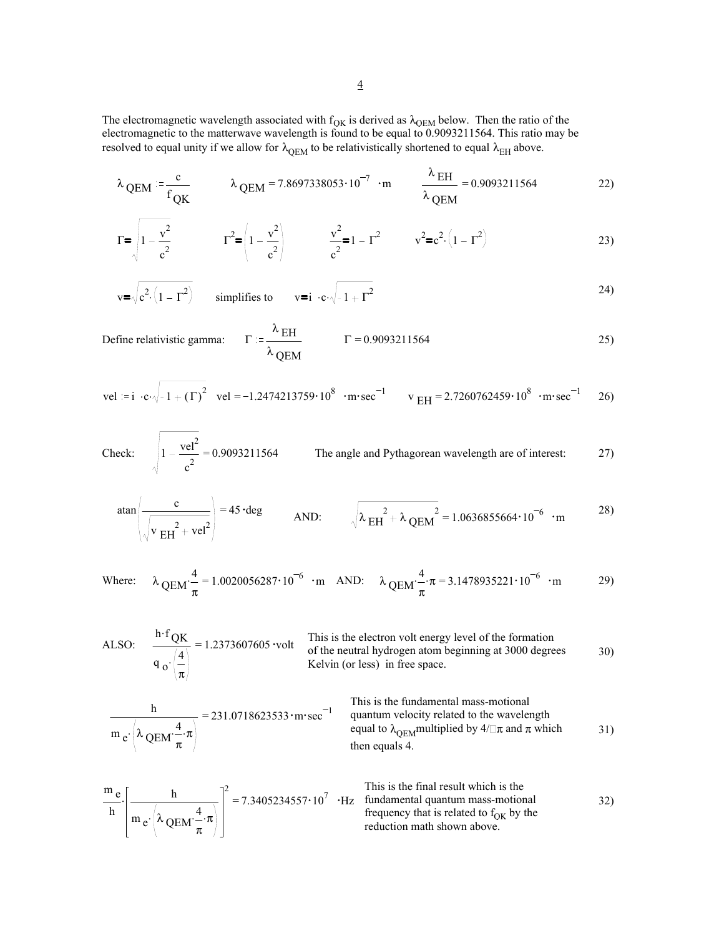The electromagnetic wavelength associated with  $f_{OK}$  is derived as  $\lambda_{OEM}$  below. Then the ratio of the electromagnetic to the matterwave wavelength is found to be equal to 0.9093211564. This ratio may be resolved to equal unity if we allow for  $\lambda_{\rm QEM}$  to be relativistically shortened to equal  $\lambda_{\rm EH}$  above.

$$
\lambda_{\text{QEM}} := \frac{c}{f_{\text{QK}}} \qquad \lambda_{\text{QEM}} = 7.8697338053 \cdot 10^{-7} \cdot \text{m} \qquad \frac{\lambda_{\text{EH}}}{\lambda_{\text{QEM}}} = 0.9093211564 \qquad 22)
$$

$$
\Gamma = \sqrt{1 - \frac{v^2}{c^2}} \qquad \Gamma^2 = \left(1 - \frac{v^2}{c^2}\right) \qquad \frac{v^2}{c^2} = 1 - \Gamma^2 \qquad v^2 = c^2 \cdot \left(1 - \Gamma^2\right) \tag{23}
$$

$$
\mathbf{v} = \sqrt{\mathbf{c}^2 \cdot (1 - \Gamma^2)}
$$
 simplifies to 
$$
\mathbf{v} = \mathbf{i} \cdot \mathbf{c} \cdot \sqrt{-1 + \Gamma^2}
$$
 (24)

Define relativistic gamma: 
$$
\Gamma := \frac{\lambda_{\text{EH}}}{\lambda_{\text{QEM}}} \qquad \Gamma = 0.9093211564
$$

vel = 
$$
i \cdot c \cdot \sqrt{-1 + (\Gamma)^2}
$$
 vel = -1.2474213759·10<sup>8</sup> · m·sec<sup>-1</sup> v  $_{EH}$  = 2.7260762459·10<sup>8</sup> · m·sec<sup>-1</sup> 26)

Check: 
$$
\sqrt{1 - \frac{vel^2}{c^2}} = 0.9093211564
$$
 The angle and Pythagorean wavelength are of interest: 27)

$$
\tan\left(\frac{c}{\sqrt{v_{EH}^2 + vel^2}}\right) = 45 \cdot deg \qquad \text{AND:} \qquad \sqrt{\lambda_{EH}^2 + \lambda_{QEM}^2} = 1.0636855664 \cdot 10^{-6} \cdot m \qquad (28)
$$

Where: 
$$
\lambda_{\text{QEM}} \cdot \frac{4}{\pi} = 1.0020056287 \cdot 10^{-6} \cdot \text{m} \quad \text{AND:} \quad \lambda_{\text{QEM}} \cdot \frac{4}{\pi} \cdot \pi = 3.1478935221 \cdot 10^{-6} \cdot \text{m}
$$
 29)

ALSO: 
$$
\frac{h \cdot f_{QK}}{q_o \left(\frac{4}{\pi}\right)} = 1.2373607605
$$
 volt This is the electron volt energy level of the formation  
of the neutral hydrogen atom beginning at 3000 degrees 30)

$$
\frac{h}{m_e \cdot \left(\lambda \cdot \frac{4}{QEM} \cdot \pi\right)} = 231.0718623533 \cdot m \cdot sec^{-1}
$$
\nThis is the fundamental mass-motional  
\nquantum velocity related to the wavelength  
\nequal to  $\lambda_{QEM}$  multiplied by  $4/\square \pi$  and  $\pi$  which  
\nthen equals 4.

$$
\frac{m_e}{h} \left[ \frac{h}{m_e \left( \lambda \frac{4}{QEM} \cdot \frac{4}{\pi} \cdot \pi \right)} \right]^2 = 7.3405234557 \cdot 10^7 \cdot \text{Hz}
$$
\nThis is the final result which is the fundamental quantum mass-motional frequency that is related to f<sub>OK</sub> by the reduction math shown above.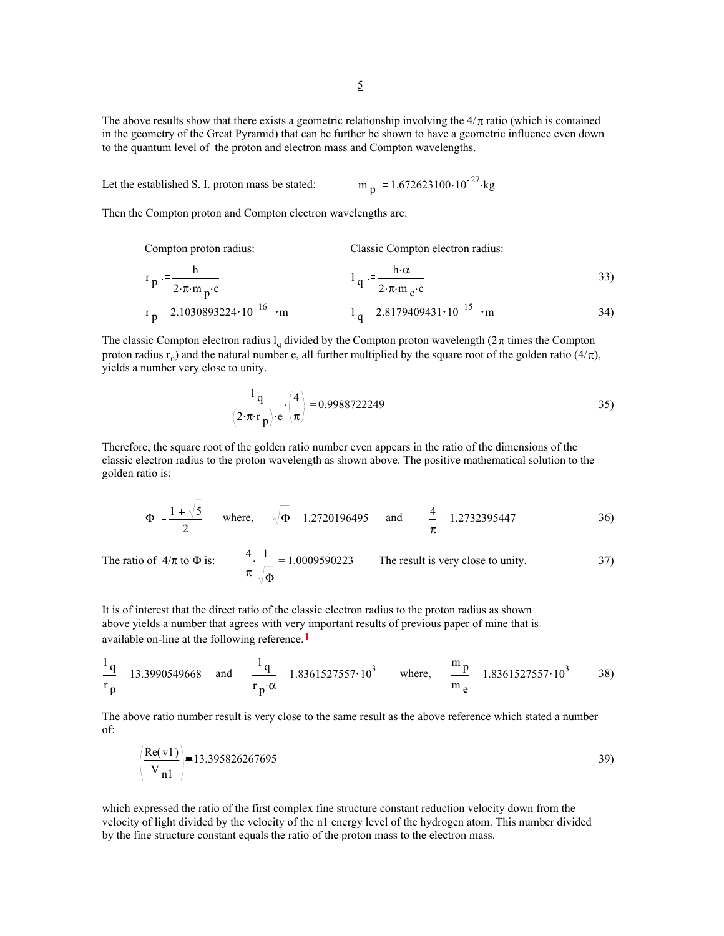5

The above results show that there exists a geometric relationship involving the  $4/\pi$  ratio (which is contained in the geometry of the Great Pyramid) that can be further be shown to have a geometric influence even down to the quantum level of the proton and electron mass and Compton wavelengths.

Let the established S. I. proton mass be stated:  $m_p = 1.672623100 \cdot 10^{-27}$  kg

Then the Compton proton and Compton electron wavelengths are:

Compton proton radius: Classic Compton electron radius:  $r_p = \frac{h}{2}$  $2 \cdot \pi \cdot m \cdot p \cdot c$  $\frac{1}{q}$ h.α  $2 \cdot \pi \cdot m \cdot e^{\cdot c}$ 33)  $r_p = 2.1030893224 \cdot 10^{-16}$  m  $l_q = 2.8179409431 \cdot 10^{-15}$  m 34)

The classic Compton electron radius  $l_a$  divided by the Compton proton wavelength ( $2\pi$  times the Compton proton radius r<sub>n</sub>) and the natural number e, all further multiplied by the square root of the golden ratio (4/π), yields a number very close to unity.

$$
\frac{1 \text{ q}}{(2 \cdot \pi \cdot \text{r p}) \cdot \text{e}} \cdot \left(\frac{4}{\pi}\right) = 0.9988722249
$$

Therefore, the square root of the golden ratio number even appears in the ratio of the dimensions of the classic electron radius to the proton wavelength as shown above. The positive mathematical solution to the golden ratio is:

$$
\Phi := \frac{1 + \sqrt{5}}{2} \quad \text{where,} \quad \sqrt{\Phi} = 1.2720196495 \quad \text{and} \quad \frac{4}{\pi} = 1.2732395447 \tag{36}
$$

The ratio of  $4/\pi$  to  $\Phi$  is:  $\frac{4}{\pi}$  = π 1 Φ 1.0009590223 The result is very close to unity. 37)

It is of interest that the direct ratio of the classic electron radius to the proton radius as shown above yields a number that agrees with very important results of previous paper of mine that is available on-line at the following reference.**1**

$$
\frac{1}{r} = 13.3990549668 \text{ and } \frac{1}{r} = 1.8361527557 \cdot 10^3 \text{ where, } \frac{m}{m} = 1.8361527557 \cdot 10^3 \text{ 38}
$$

The above ratio number result is very close to the same result as the above reference which stated a number of:

$$
\left(\frac{\text{Re}(v1)}{V_{n1}}\right) = 13.395826267695
$$

which expressed the ratio of the first complex fine structure constant reduction velocity down from the velocity of light divided by the velocity of the n1 energy level of the hydrogen atom. This number divided by the fine structure constant equals the ratio of the proton mass to the electron mass.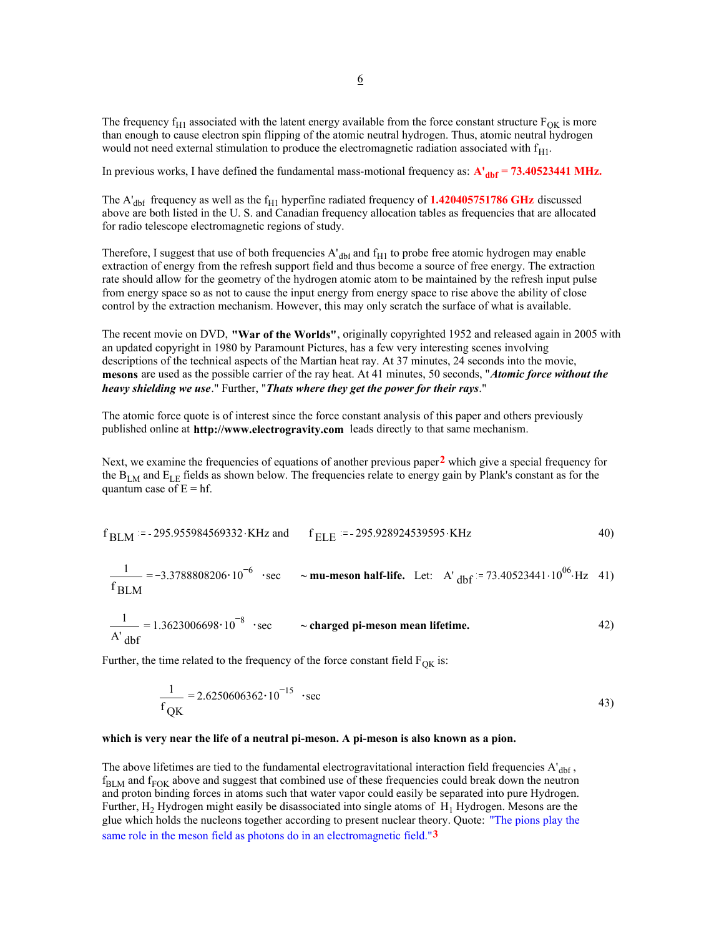The frequency  $f_{H1}$  associated with the latent energy available from the force constant structure  $F_{OK}$  is more than enough to cause electron spin flipping of the atomic neutral hydrogen. Thus, atomic neutral hydrogen would not need external stimulation to produce the electromagnetic radiation associated with  $f_{\text{H1}}$ .

In previous works, I have defined the fundamental mass-motional frequency as:  $A<sub>dhf</sub> = 73.40523441 \text{ MHz.}$ 

The  $A<sub>dbf</sub>$  frequency as well as the  $f<sub>H1</sub>$  hyperfine radiated frequency of **1.420405751786 GHz** discussed above are both listed in the U. S. and Canadian frequency allocation tables as frequencies that are allocated for radio telescope electromagnetic regions of study.

Therefore, I suggest that use of both frequencies  $A<sub>dhf</sub>$  and  $f<sub>H1</sub>$  to probe free atomic hydrogen may enable extraction of energy from the refresh support field and thus become a source of free energy. The extraction rate should allow for the geometry of the hydrogen atomic atom to be maintained by the refresh input pulse from energy space so as not to cause the input energy from energy space to rise above the ability of close control by the extraction mechanism. However, this may only scratch the surface of what is available.

The recent movie on DVD, **"War of the Worlds"**, originally copyrighted 1952 and released again in 2005 with an updated copyright in 1980 by Paramount Pictures, has a few very interesting scenes involving descriptions of the technical aspects of the Martian heat ray. At 37 minutes, 24 seconds into the movie, **mesons** are used as the possible carrier of the ray heat. At 41 minutes, 50 seconds, "*Atomic force without the heavy shielding we use*." Further, "*Thats where they get the power for their rays*."

The atomic force quote is of interest since the force constant analysis of this paper and others previously published online at **http://www.electrogravity.com** leads directly to that same mechanism.

Next, we examine the frequencies of equations of another previous paper**2** which give a special frequency for the B<sub>LM</sub> and E<sub>LE</sub> fields as shown below. The frequencies relate to energy gain by Plank's constant as for the quantum case of  $E = hf$ .

$$
f_{BLM}
$$
 := -295.955984569332·KHz and  $f_{ELE}$  = -295.928924539595·KHz 40)

$$
\frac{1}{f_{\text{BLM}}} = -3.3788808206 \cdot 10^{-6} \text{ } \cdot \text{sec} \quad \sim \text{mu-meson half-life. Let:} \quad \text{A'} \text{ dbf} = 73.40523441 \cdot 10^{06} \cdot \text{Hz} \quad 41)
$$

$$
\frac{1}{A' \text{ dbf}} = 1.3623006698 \cdot 10^{-8} \text{ } \cdot \text{sec}
$$
 ~ charged pi-meson mean lifetime. (42)

Further, the time related to the frequency of the force constant field  $F_{\text{QK}}$  is:

$$
\frac{1}{f_{\text{QK}}} = 2.6250606362 \cdot 10^{-15} \text{ } \cdot \text{sec}
$$

#### **which is very near the life of a neutral pi-meson. A pi-meson is also known as a pion.**

The above lifetimes are tied to the fundamental electrogravitational interaction field frequencies A'<sub>dbf</sub>,  $f_{\text{BLM}}$  and  $f_{\text{FOK}}$  above and suggest that combined use of these frequencies could break down the neutron and proton binding forces in atoms such that water vapor could easily be separated into pure Hydrogen. Further,  $H_2$  Hydrogen might easily be disassociated into single atoms of  $H_1$  Hydrogen. Mesons are the glue which holds the nucleons together according to present nuclear theory. Quote: "The pions play the same role in the meson field as photons do in an electromagnetic field."**3**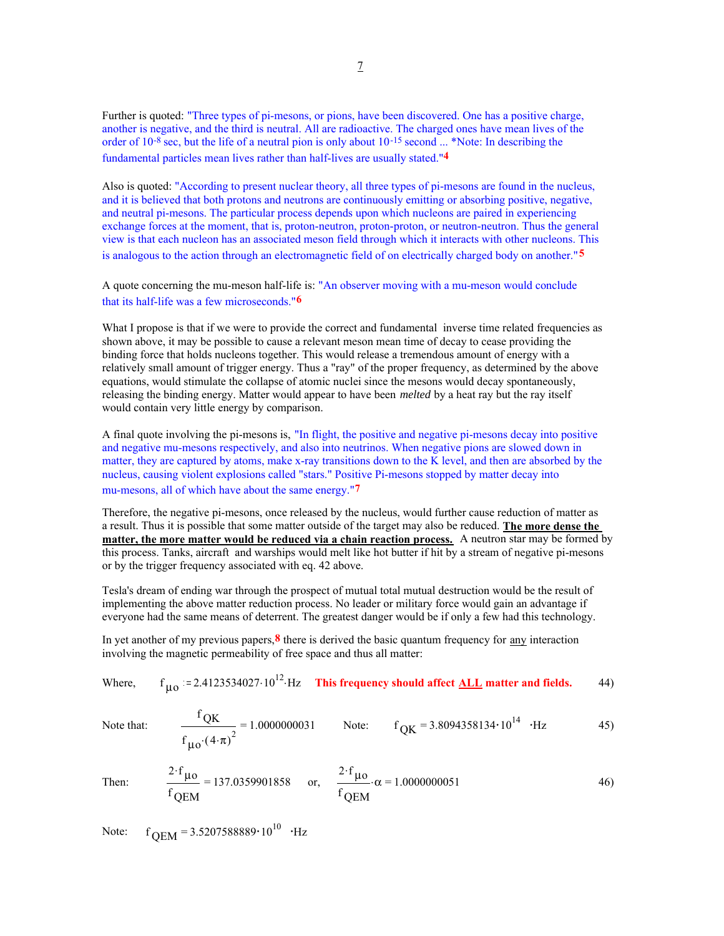Further is quoted: "Three types of pi-mesons, or pions, have been discovered. One has a positive charge, another is negative, and the third is neutral. All are radioactive. The charged ones have mean lives of the order of 10-8 sec, but the life of a neutral pion is only about 10-15 second ... \*Note: In describing the fundamental particles mean lives rather than half-lives are usually stated."**4**

Also is quoted: "According to present nuclear theory, all three types of pi-mesons are found in the nucleus, and it is believed that both protons and neutrons are continuously emitting or absorbing positive, negative, and neutral pi-mesons. The particular process depends upon which nucleons are paired in experiencing exchange forces at the moment, that is, proton-neutron, proton-proton, or neutron-neutron. Thus the general view is that each nucleon has an associated meson field through which it interacts with other nucleons. This is analogous to the action through an electromagnetic field of on electrically charged body on another."**5** 

A quote concerning the mu-meson half-life is: "An observer moving with a mu-meson would conclude that its half-life was a few microseconds."**6**

What I propose is that if we were to provide the correct and fundamental inverse time related frequencies as shown above, it may be possible to cause a relevant meson mean time of decay to cease providing the binding force that holds nucleons together. This would release a tremendous amount of energy with a relatively small amount of trigger energy. Thus a "ray" of the proper frequency, as determined by the above equations, would stimulate the collapse of atomic nuclei since the mesons would decay spontaneously, releasing the binding energy. Matter would appear to have been *melted* by a heat ray but the ray itself would contain very little energy by comparison.

A final quote involving the pi-mesons is, "In flight, the positive and negative pi-mesons decay into positive and negative mu-mesons respectively, and also into neutrinos. When negative pions are slowed down in matter, they are captured by atoms, make x-ray transitions down to the K level, and then are absorbed by the nucleus, causing violent explosions called "stars." Positive Pi-mesons stopped by matter decay into mu-mesons, all of which have about the same energy."**7**

Therefore, the negative pi-mesons, once released by the nucleus, would further cause reduction of matter as a result. Thus it is possible that some matter outside of the target may also be reduced. **The more dense the matter, the more matter would be reduced via a chain reaction process.** A neutron star may be formed by this process. Tanks, aircraft and warships would melt like hot butter if hit by a stream of negative pi-mesons or by the trigger frequency associated with eq. 42 above.

Tesla's dream of ending war through the prospect of mutual total mutual destruction would be the result of implementing the above matter reduction process. No leader or military force would gain an advantage if everyone had the same means of deterrent. The greatest danger would be if only a few had this technology.

In yet another of my previous papers,**8** there is derived the basic quantum frequency for any interaction involving the magnetic permeability of free space and thus all matter:

Where,  $f_{110}$  := 2.4123534027.10<sup>12</sup> Hz **This frequency should affect <u>ALL</u> matter and fields.** 44)

Note that:  $\frac{f}{f}$ 

$$
\frac{^{1} \text{QK}}{f_{\text{U0}} \cdot (4 \cdot \pi)^{2}} = 1.0000000031
$$
 Note:  $f_{\text{QK}} = 3.8094358134 \cdot 10^{14}$ ·Hz (4.7)

Then:  $\frac{2 \cdot f_{\mu o}}{2}$  = f QEM 137.0359901858 or,  $\frac{2 \cdot f_{\mu o}}{\mu o}$   $\alpha =$ f QEM  $\alpha = 1.0000000051$  46)

Note:  $f_{\text{OEM}} = 3.5207588889 \cdot 10^{10}$  ·Hz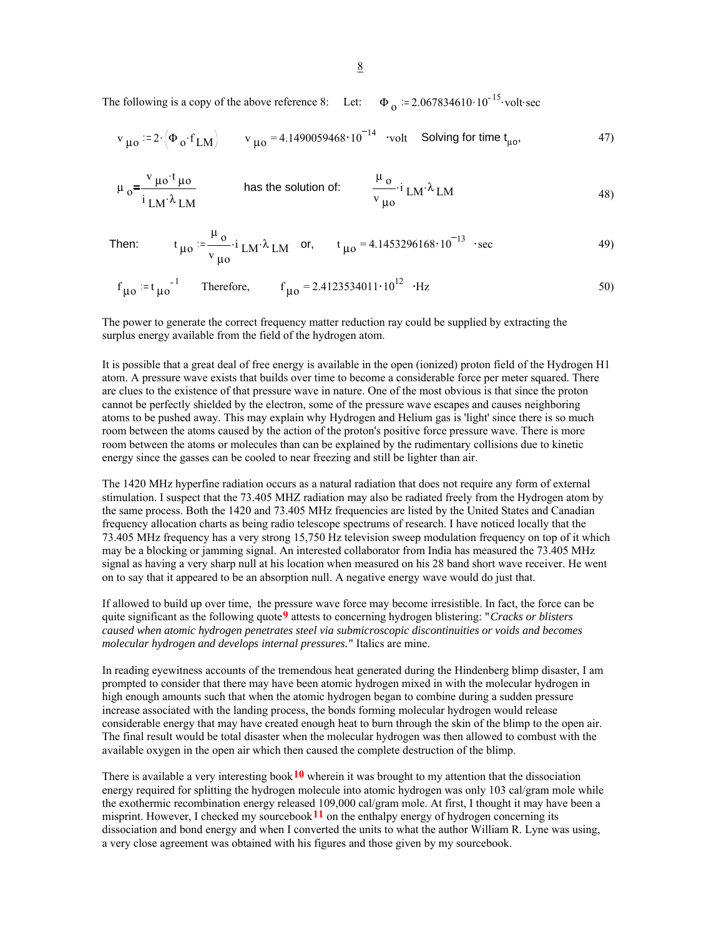The following is a copy of the above reference 8: Let:  $\Phi_{\alpha} = 2.067834610 \cdot 10^{-15}$  volt sec

$$
v_{\mu o} = 2 \cdot (\Phi_o \cdot f_{LM})
$$
  $v_{\mu o} = 4.1490059468 \cdot 10^{-14}$  **volt** Solving for time t<sub>μo</sub>, 47)

$$
\mu_0 = \frac{v_{\mu0}t_{\mu0}}{i_{\text{LM}}\lambda_{\text{LM}}}
$$
 has the solution of: 
$$
\frac{\mu_0}{v_{\mu0}} \cdot i_{\text{LM}}\lambda_{\text{LM}}
$$
 (48)

Then: 
$$
t_{\mu 0} = \frac{\mu_0}{v_{\mu 0}} \cdot i_{LM} \cdot \lambda_{LM}
$$
 or,  $t_{\mu 0} = 4.1453296168 \cdot 10^{-13}$  sec

$$
f_{\mu 0} := t_{\mu 0}^{-1}
$$
 Therefore,  $f_{\mu 0} = 2.4123534011 \cdot 10^{12}$  · Hz

The power to generate the correct frequency matter reduction ray could be supplied by extracting the surplus energy available from the field of the hydrogen atom.

It is possible that a great deal of free energy is available in the open (ionized) proton field of the Hydrogen H1 atom. A pressure wave exists that builds over time to become a considerable force per meter squared. There are clues to the existence of that pressure wave in nature. One of the most obvious is that since the proton cannot be perfectly shielded by the electron, some of the pressure wave escapes and causes neighboring atoms to be pushed away. This may explain why Hydrogen and Helium gas is 'light' since there is so much room between the atoms caused by the action of the proton's positive force pressure wave. There is more room between the atoms or molecules than can be explained by the rudimentary collisions due to kinetic energy since the gasses can be cooled to near freezing and still be lighter than air.

The 1420 MHz hyperfine radiation occurs as a natural radiation that does not require any form of external stimulation. I suspect that the 73.405 MHZ radiation may also be radiated freely from the Hydrogen atom by the same process. Both the 1420 and 73.405 MHz frequencies are listed by the United States and Canadian frequency allocation charts as being radio telescope spectrums of research. I have noticed locally that the 73.405 MHz frequency has a very strong 15,750 Hz television sweep modulation frequency on top of it which may be a blocking or jamming signal. An interested collaborator from India has measured the 73.405 MHz signal as having a very sharp null at his location when measured on his 28 band short wave receiver. He went on to say that it appeared to be an absorption null. A negative energy wave would do just that.

If allowed to build up over time, the pressure wave force may become irresistible. In fact, the force can be quite significant as the following quote**9** attests to concerning hydrogen blistering: "*Cracks or blisters caused when atomic hydrogen penetrates steel via submicroscopic discontinuities or voids and becomes molecular hydrogen and develops internal pressures.*" Italics are mine.

In reading eyewitness accounts of the tremendous heat generated during the Hindenberg blimp disaster, I am prompted to consider that there may have been atomic hydrogen mixed in with the molecular hydrogen in high enough amounts such that when the atomic hydrogen began to combine during a sudden pressure increase associated with the landing process, the bonds forming molecular hydrogen would release considerable energy that may have created enough heat to burn through the skin of the blimp to the open air. The final result would be total disaster when the molecular hydrogen was then allowed to combust with the available oxygen in the open air which then caused the complete destruction of the blimp.

There is available a very interesting book**10** wherein it was brought to my attention that the dissociation energy required for splitting the hydrogen molecule into atomic hydrogen was only 103 cal/gram mole while the exothermic recombination energy released 109,000 cal/gram mole. At first, I thought it may have been a misprint. However, I checked my sourcebook  $11$  on the enthalpy energy of hydrogen concerning its dissociation and bond energy and when I converted the units to what the author William R. Lyne was using, a very close agreement was obtained with his figures and those given by my sourcebook.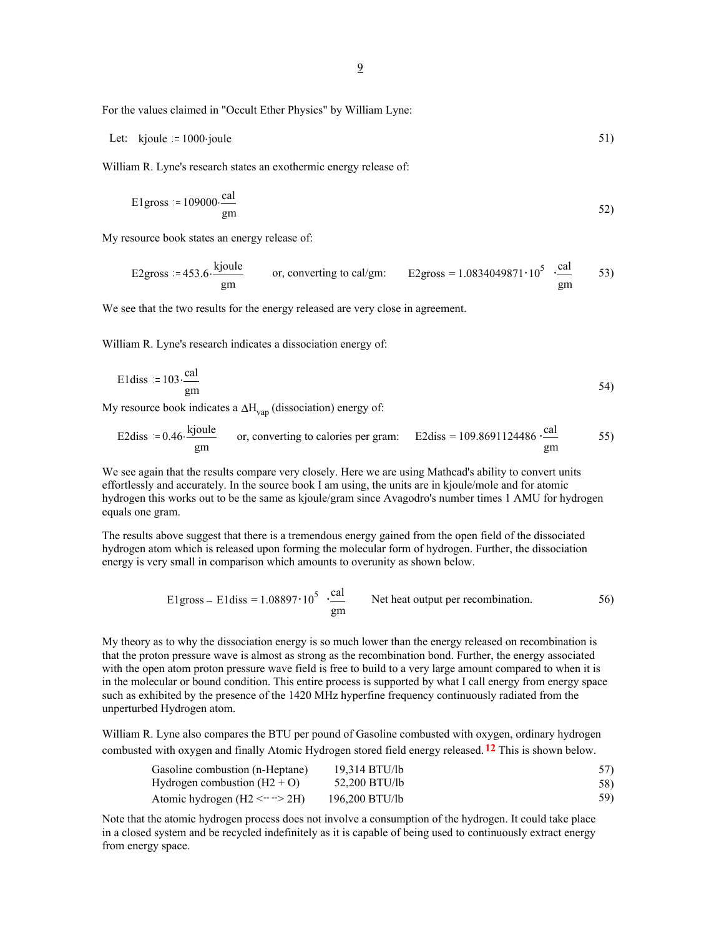9

For the values claimed in "Occult Ether Physics" by William Lyne:

Let: 
$$
kjoule := 1000 \text{ joule}
$$
 51)

William R. Lyne's research states an exothermic energy release of:

$$
E1 \text{gross} := 109000 \cdot \frac{\text{cal}}{\text{gm}}
$$

My resource book states an energy release of:

E2gross := 453.6. 
$$
\frac{\text{kjoule}}{\text{gm}}
$$
 or, converting to cal/gm:  $E2\text{gross} = 1.0834049871 \cdot 10^5 \cdot \frac{\text{cal}}{\text{gm}}$  53)

We see that the two results for the energy released are very close in agreement.

William R. Lyne's research indicates a dissociation energy of:

$$
E1 \text{diss} := 103 \cdot \frac{\text{cal}}{\text{gm}}
$$

My resource book indicates a  $\Delta H_{\text{van}}$  (dissociation) energy of:

E2diss := 0.46 
$$
\frac{\text{kjoule}}{\text{gm}}
$$
 or, converting to calories per gram: E2diss = 109.8691124486  $\frac{\text{cal}}{\text{gm}}$  55)

We see again that the results compare very closely. Here we are using Mathcad's ability to convert units effortlessly and accurately. In the source book I am using, the units are in kjoule/mole and for atomic hydrogen this works out to be the same as kjoule/gram since Avagodro's number times 1 AMU for hydrogen equals one gram.

The results above suggest that there is a tremendous energy gained from the open field of the dissociated hydrogen atom which is released upon forming the molecular form of hydrogen. Further, the dissociation energy is very small in comparison which amounts to overunity as shown below.

E1gross – E1diss = 
$$
1.08897 \cdot 10^5
$$
  $\frac{cal}{gm}$  Net heat output per recombination. 56)

My theory as to why the dissociation energy is so much lower than the energy released on recombination is that the proton pressure wave is almost as strong as the recombination bond. Further, the energy associated with the open atom proton pressure wave field is free to build to a very large amount compared to when it is in the molecular or bound condition. This entire process is supported by what I call energy from energy space such as exhibited by the presence of the 1420 MHz hyperfine frequency continuously radiated from the unperturbed Hydrogen atom.

William R. Lyne also compares the BTU per pound of Gasoline combusted with oxygen, ordinary hydrogen combusted with oxygen and finally Atomic Hydrogen stored field energy released.**12** This is shown below.

| Gasoline combustion (n-Heptane) | 19,314 BTU/lb  |     |
|---------------------------------|----------------|-----|
| Hydrogen combustion $(H2 + O)$  | 52.200 BTU/lb  | 58) |
| Atomic hydrogen $(H2 \le -2H)$  | 196,200 BTU/lb | 59) |

Note that the atomic hydrogen process does not involve a consumption of the hydrogen. It could take place in a closed system and be recycled indefinitely as it is capable of being used to continuously extract energy from energy space.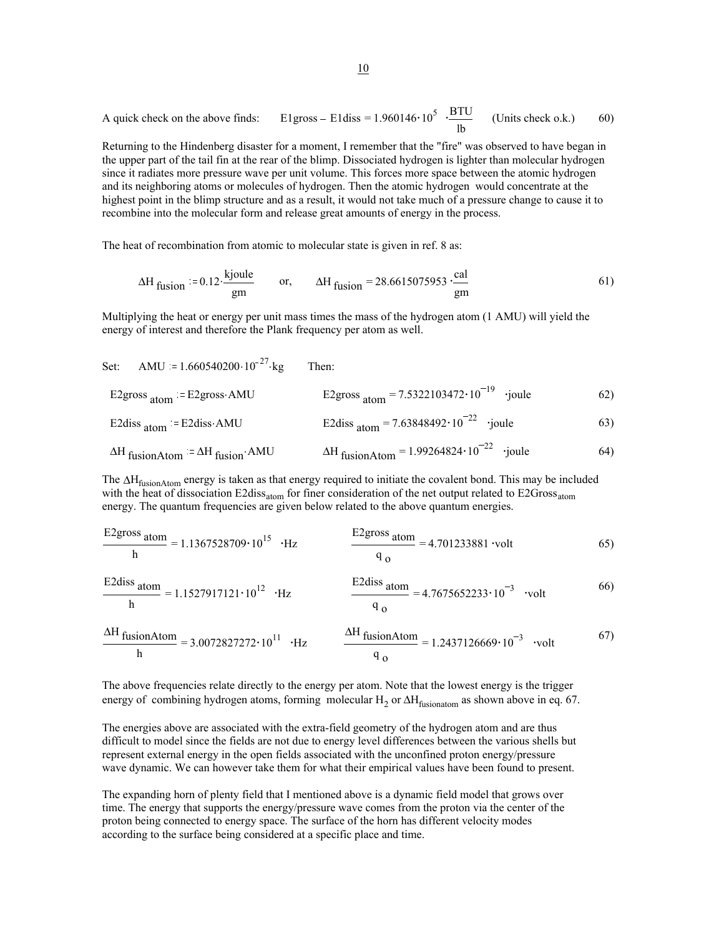A quick check on the above finds: E1 gross – E1diss = 
$$
1.960146 \cdot 10^5
$$
  $\cdot \frac{BTU}{lb}$  (Units check o.k.)

Returning to the Hindenberg disaster for a moment, I remember that the "fire" was observed to have began in the upper part of the tail fin at the rear of the blimp. Dissociated hydrogen is lighter than molecular hydrogen since it radiates more pressure wave per unit volume. This forces more space between the atomic hydrogen and its neighboring atoms or molecules of hydrogen. Then the atomic hydrogen would concentrate at the highest point in the blimp structure and as a result, it would not take much of a pressure change to cause it to recombine into the molecular form and release great amounts of energy in the process.

The heat of recombination from atomic to molecular state is given in ref. 8 as:

$$
\Delta H_{\text{fusion}} = 0.12 \cdot \frac{\text{kjoule}}{\text{gm}} \qquad \text{or,} \qquad \Delta H_{\text{fusion}} = 28.6615075953 \cdot \frac{\text{cal}}{\text{gm}} \tag{61}
$$

Multiplying the heat or energy per unit mass times the mass of the hydrogen atom (1 AMU) will yield the energy of interest and therefore the Plank frequency per atom as well.

| Set: AMU = $1.660540200 \cdot 10^{-27}$ kg    | Then:                                                              |     |
|-----------------------------------------------|--------------------------------------------------------------------|-----|
| E2gross $_{\text{atom}}$ = E2gross AMU        | E2gross $_{\text{atom}} = 7.5322103472 \cdot 10^{-19}$ .joule      | 62) |
| E2diss $_{\text{atom}}$ = E2diss AMU          | E2diss $_{\text{atom}} = 7.63848492 \cdot 10^{-22}$ .joule         | 63) |
| $\Delta H$ fusionAtom = $\Delta H$ fusion AMU | $\Delta H$ fusionAtom = 1.99264824 $\cdot$ 10 <sup>-22</sup> joule | 64) |

The ∆H<sub>fusionAtom</sub> energy is taken as that energy required to initiate the covalent bond. This may be included with the heat of dissociation  $E2diss<sub>atom</sub>$  for finer consideration of the net output related to  $E2Gross<sub>atom</sub>$ energy. The quantum frequencies are given below related to the above quantum energies.

$$
\frac{E2 \text{gross atom}}{h} = 1.1367528709 \cdot 10^{15} \cdot Hz \qquad \frac{E2 \text{gross atom}}{q_0} = 4.701233881 \cdot volt \qquad (65)
$$

$$
\frac{\text{E2diss}}{\text{h}}\text{atom} = 1.1527917121 \cdot 10^{12} \cdot \text{Hz}
$$
\n
$$
\frac{\text{E2diss}}{q_0} = 4.7675652233 \cdot 10^{-3} \cdot \text{volt}
$$
\n(66)

$$
\frac{\Delta H \text{ fusionAtom}}{h} = 3.0072827272 \cdot 10^{11} \cdot Hz \qquad \frac{\Delta H \text{ fusionAtom}}{q_0} = 1.2437126669 \cdot 10^{-3} \cdot volt \qquad (67)
$$

The above frequencies relate directly to the energy per atom. Note that the lowest energy is the trigger energy of combining hydrogen atoms, forming molecular H<sub>2</sub> or  $\Delta H_{fusionatom}$  as shown above in eq. 67.

The energies above are associated with the extra-field geometry of the hydrogen atom and are thus difficult to model since the fields are not due to energy level differences between the various shells but represent external energy in the open fields associated with the unconfined proton energy/pressure wave dynamic. We can however take them for what their empirical values have been found to present.

The expanding horn of plenty field that I mentioned above is a dynamic field model that grows over time. The energy that supports the energy/pressure wave comes from the proton via the center of the proton being connected to energy space. The surface of the horn has different velocity modes according to the surface being considered at a specific place and time.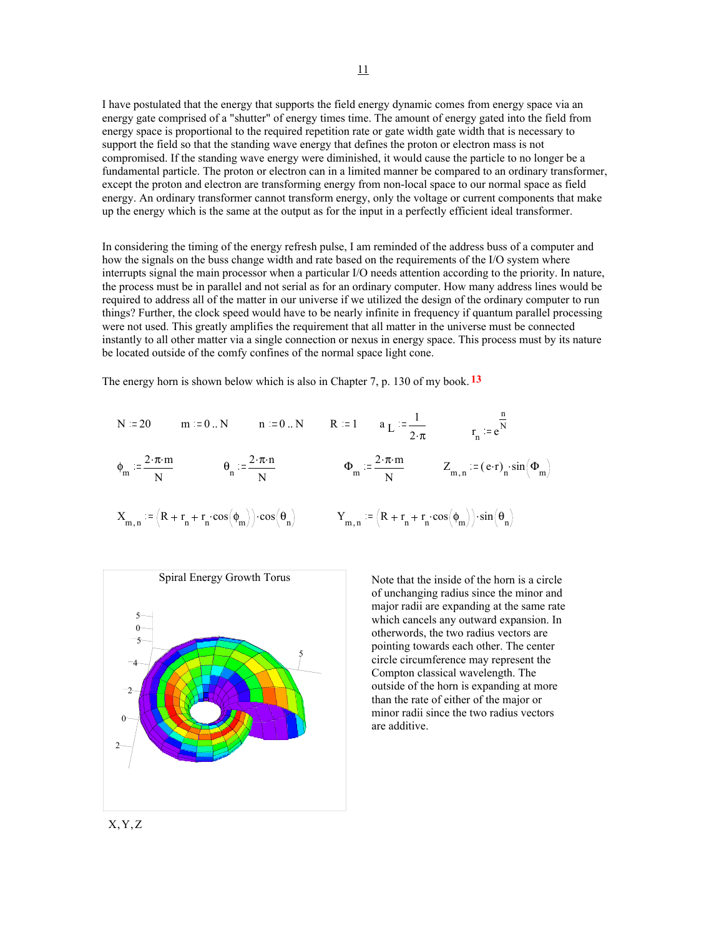I have postulated that the energy that supports the field energy dynamic comes from energy space via an energy gate comprised of a "shutter" of energy times time. The amount of energy gated into the field from energy space is proportional to the required repetition rate or gate width gate width that is necessary to support the field so that the standing wave energy that defines the proton or electron mass is not compromised. If the standing wave energy were diminished, it would cause the particle to no longer be a fundamental particle. The proton or electron can in a limited manner be compared to an ordinary transformer, except the proton and electron are transforming energy from non-local space to our normal space as field energy. An ordinary transformer cannot transform energy, only the voltage or current components that make up the energy which is the same at the output as for the input in a perfectly efficient ideal transformer.

In considering the timing of the energy refresh pulse, I am reminded of the address buss of a computer and how the signals on the buss change width and rate based on the requirements of the I/O system where interrupts signal the main processor when a particular I/O needs attention according to the priority. In nature, the process must be in parallel and not serial as for an ordinary computer. How many address lines would be required to address all of the matter in our universe if we utilized the design of the ordinary computer to run things? Further, the clock speed would have to be nearly infinite in frequency if quantum parallel processing were not used. This greatly amplifies the requirement that all matter in the universe must be connected instantly to all other matter via a single connection or nexus in energy space. This process must by its nature be located outside of the comfy confines of the normal space light cone.

The energy horn is shown below which is also in Chapter 7, p. 130 of my book. **13**

$$
N := 20 \t m := 0 \t N \t n := 0 \t N \t R := 1 \t aL := \frac{1}{2 \cdot \pi} \t rn := e\frac{n}{N}
$$
  

$$
\phi_m := \frac{2 \cdot \pi \cdot m}{N} \t \phi_n := \frac{2 \cdot \pi \cdot n}{N} \t \phi_m := \frac{2 \cdot \pi \cdot m}{N} \t Zm,n := (e \cdot r)n \cdot \sin(\Phi_m)
$$
  

$$
Xm,n := (R + rn + rn \cdot \cos(\phi_m)) \cdot \cos(\theta_n) \t Ym,n := (R + rn + rn \cdot \cos(\phi_m)) \cdot \sin(\theta_n)
$$



Note that the inside of the horn is a circle of unchanging radius since the minor and major radii are expanding at the same rate which cancels any outward expansion. In otherwords, the two radius vectors are pointing towards each other. The center circle circumference may represent the Compton classical wavelength. The outside of the horn is expanding at more than the rate of either of the major or minor radii since the two radius vectors are additive.

11

X,Y,Z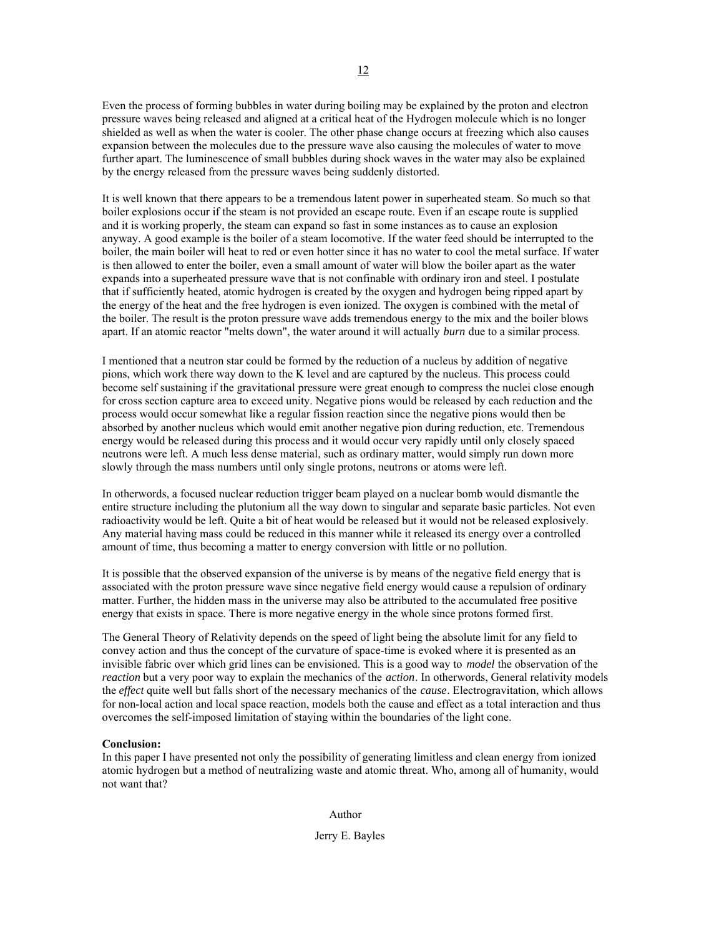Even the process of forming bubbles in water during boiling may be explained by the proton and electron pressure waves being released and aligned at a critical heat of the Hydrogen molecule which is no longer shielded as well as when the water is cooler. The other phase change occurs at freezing which also causes expansion between the molecules due to the pressure wave also causing the molecules of water to move further apart. The luminescence of small bubbles during shock waves in the water may also be explained by the energy released from the pressure waves being suddenly distorted.

It is well known that there appears to be a tremendous latent power in superheated steam. So much so that boiler explosions occur if the steam is not provided an escape route. Even if an escape route is supplied and it is working properly, the steam can expand so fast in some instances as to cause an explosion anyway. A good example is the boiler of a steam locomotive. If the water feed should be interrupted to the boiler, the main boiler will heat to red or even hotter since it has no water to cool the metal surface. If water is then allowed to enter the boiler, even a small amount of water will blow the boiler apart as the water expands into a superheated pressure wave that is not confinable with ordinary iron and steel. I postulate that if sufficiently heated, atomic hydrogen is created by the oxygen and hydrogen being ripped apart by the energy of the heat and the free hydrogen is even ionized. The oxygen is combined with the metal of the boiler. The result is the proton pressure wave adds tremendous energy to the mix and the boiler blows apart. If an atomic reactor "melts down", the water around it will actually *burn* due to a similar process.

I mentioned that a neutron star could be formed by the reduction of a nucleus by addition of negative pions, which work there way down to the K level and are captured by the nucleus. This process could become self sustaining if the gravitational pressure were great enough to compress the nuclei close enough for cross section capture area to exceed unity. Negative pions would be released by each reduction and the process would occur somewhat like a regular fission reaction since the negative pions would then be absorbed by another nucleus which would emit another negative pion during reduction, etc. Tremendous energy would be released during this process and it would occur very rapidly until only closely spaced neutrons were left. A much less dense material, such as ordinary matter, would simply run down more slowly through the mass numbers until only single protons, neutrons or atoms were left.

In otherwords, a focused nuclear reduction trigger beam played on a nuclear bomb would dismantle the entire structure including the plutonium all the way down to singular and separate basic particles. Not even radioactivity would be left. Quite a bit of heat would be released but it would not be released explosively. Any material having mass could be reduced in this manner while it released its energy over a controlled amount of time, thus becoming a matter to energy conversion with little or no pollution.

It is possible that the observed expansion of the universe is by means of the negative field energy that is associated with the proton pressure wave since negative field energy would cause a repulsion of ordinary matter. Further, the hidden mass in the universe may also be attributed to the accumulated free positive energy that exists in space. There is more negative energy in the whole since protons formed first.

The General Theory of Relativity depends on the speed of light being the absolute limit for any field to convey action and thus the concept of the curvature of space-time is evoked where it is presented as an invisible fabric over which grid lines can be envisioned. This is a good way to *model* the observation of the *reaction* but a very poor way to explain the mechanics of the *action*. In otherwords, General relativity models the *effect* quite well but falls short of the necessary mechanics of the *cause*. Electrogravitation, which allows for non-local action and local space reaction, models both the cause and effect as a total interaction and thus overcomes the self-imposed limitation of staying within the boundaries of the light cone.

## **Conclusion:**

In this paper I have presented not only the possibility of generating limitless and clean energy from ionized atomic hydrogen but a method of neutralizing waste and atomic threat. Who, among all of humanity, would not want that?

Author

Jerry E. Bayles